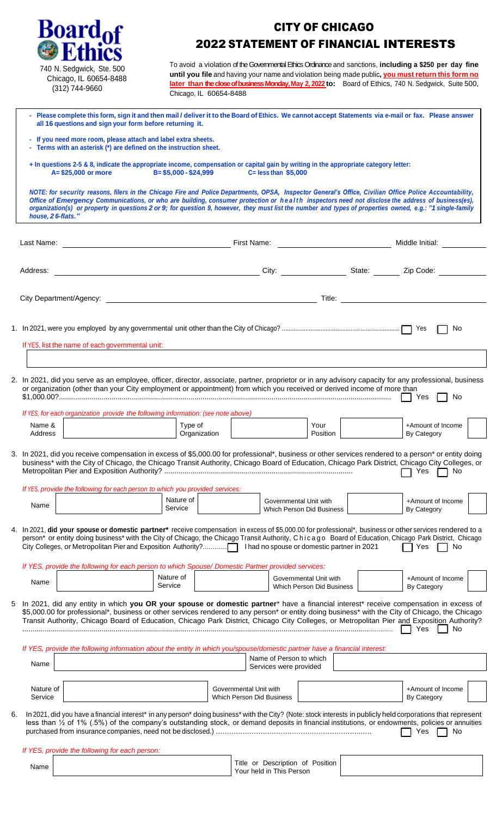| <b>Board<sub>of</sub></b>                                                                                                                                                                                                                                                                                                                                                                                                                                                                     |                         | <b>2022 STATEMENT OF FINANCIAL INTERESTS</b>                                                                                                                                                                                  | <b>CITY OF CHICAGO</b> |                                  |  |
|-----------------------------------------------------------------------------------------------------------------------------------------------------------------------------------------------------------------------------------------------------------------------------------------------------------------------------------------------------------------------------------------------------------------------------------------------------------------------------------------------|-------------------------|-------------------------------------------------------------------------------------------------------------------------------------------------------------------------------------------------------------------------------|------------------------|----------------------------------|--|
| 740 N. Sedgwick, Ste. 500<br>Chicago, IL 60654-8488<br>(312) 744-9660                                                                                                                                                                                                                                                                                                                                                                                                                         |                         | To avoid a violation of the Governmental Ethics Ordinance and sanctions, including a \$250 per day fine<br>until you file and having your name and violation being made public, you must return this form no                  |                        |                                  |  |
|                                                                                                                                                                                                                                                                                                                                                                                                                                                                                               |                         | later than the close of business Monday, May 2, 2022 to: Board of Ethics, 740 N. Sedgwick, Suite 500,<br>Chicago, IL 60654-8488                                                                                               |                        |                                  |  |
| - Please complete this form, sign it and then mail / deliver it to the Board of Ethics. We cannot accept Statements via e-mail or fax. Please answer<br>all 16 questions and sign your form before returning it.                                                                                                                                                                                                                                                                              |                         |                                                                                                                                                                                                                               |                        |                                  |  |
| - If you need more room, please attach and label extra sheets.<br>- Terms with an asterisk (*) are defined on the instruction sheet.                                                                                                                                                                                                                                                                                                                                                          |                         |                                                                                                                                                                                                                               |                        |                                  |  |
| + In questions 2-5 & 8, indicate the appropriate income, compensation or capital gain by writing in the appropriate category letter:<br>$A = $25,000$ or more                                                                                                                                                                                                                                                                                                                                 |                         | B= \$5,000 - \$24,999 C= less than \$5,000                                                                                                                                                                                    |                        |                                  |  |
| NOTE: for security reasons, filers in the Chicago Fire and Police Departments, OPSA, Inspector General's Office, Civilian Office Police Accountability,<br>Office of Emergency Communications, or who are building, consumer protection or health inspectors need not disclose the address of business(es),<br>organization(s) or property in questions 2 or 9; for question 9, however, they must list the number and types of properties owned, e.g.: "1 single-family<br>house, 26-flats." |                         |                                                                                                                                                                                                                               |                        |                                  |  |
|                                                                                                                                                                                                                                                                                                                                                                                                                                                                                               |                         |                                                                                                                                                                                                                               |                        |                                  |  |
| Address:                                                                                                                                                                                                                                                                                                                                                                                                                                                                                      |                         | City: City: 2ip Code: 2ip Code: 2ip Code: 2ip Code: 2ip Code: 2ip Code: 2ip Code: 2ip Code: 2ip Code: 2ip Code: 2ip Code: 2ip Code: 2ip Code: 2ip Code: 2ip Code: 2ip Code: 2ip Code: 2ip Code: 2ip Code: 2ip Code: 2ip Code: |                        |                                  |  |
|                                                                                                                                                                                                                                                                                                                                                                                                                                                                                               |                         |                                                                                                                                                                                                                               |                        |                                  |  |
|                                                                                                                                                                                                                                                                                                                                                                                                                                                                                               |                         |                                                                                                                                                                                                                               |                        | No                               |  |
| If YES, list the name of each governmental unit:                                                                                                                                                                                                                                                                                                                                                                                                                                              |                         |                                                                                                                                                                                                                               |                        |                                  |  |
| 2. In 2021, did you serve as an employee, officer, director, associate, partner, proprietor or in any advisory capacity for any professional, business<br>or organization (other than your City employment or appointment) from which you received or derived income of more than                                                                                                                                                                                                             |                         |                                                                                                                                                                                                                               |                        | Yes<br>No                        |  |
| If YES, for each organization provide the following information: (see note above)<br>Name &<br>Address                                                                                                                                                                                                                                                                                                                                                                                        | Type of<br>Organization |                                                                                                                                                                                                                               | Your<br>Position       | +Amount of Income<br>By Category |  |
| 3. In 2021, did you receive compensation in excess of \$5,000.00 for professional*, business or other services rendered to a person* or entity doing<br>business* with the City of Chicago, the Chicago Transit Authority, Chicago Board of Education, Chicago Park District, Chicago City Colleges, or                                                                                                                                                                                       |                         |                                                                                                                                                                                                                               |                        | Yes<br>No.                       |  |
| If YES, provide the following for each person to which you provided services:<br>Name                                                                                                                                                                                                                                                                                                                                                                                                         | Nature of<br>Service    | Governmental Unit with<br>Which Person Did Business                                                                                                                                                                           |                        | +Amount of Income<br>By Category |  |
| 4. In 2021, did your spouse or domestic partner* receive compensation in excess of \$5,000.00 for professional*, business or other services rendered to a<br>person* or entity doing business* with the City of Chicago, the Chicago Transit Authority, Chicago Board of Education, Chicago Park District, Chicago                                                                                                                                                                            |                         |                                                                                                                                                                                                                               |                        | Yes<br>No                        |  |
| If YES, provide the following for each person to which Spouse/ Domestic Partner provided services:                                                                                                                                                                                                                                                                                                                                                                                            | Nature of               | Governmental Unit with                                                                                                                                                                                                        |                        | +Amount of Income                |  |
| Name                                                                                                                                                                                                                                                                                                                                                                                                                                                                                          | Service                 | Which Person Did Business                                                                                                                                                                                                     |                        | By Category                      |  |
| In 2021, did any entity in which you OR your spouse or domestic partner* have a financial interest* receive compensation in excess of<br>5.<br>\$5,000.00 for professional*, business or other services rendered to any person* or entity doing business* with the City of Chicago, the Chicago<br>Transit Authority, Chicago Board of Education, Chicago Park District, Chicago City Colleges, or Metropolitan Pier and Exposition Authority?                                                |                         |                                                                                                                                                                                                                               |                        | Yes<br>No                        |  |
| If YES, provide the following information about the entity in which you/spouse/domestic partner have a financial interest:                                                                                                                                                                                                                                                                                                                                                                    |                         | Name of Person to which                                                                                                                                                                                                       |                        |                                  |  |
| Name                                                                                                                                                                                                                                                                                                                                                                                                                                                                                          |                         | Services were provided                                                                                                                                                                                                        |                        |                                  |  |
| Nature of<br>Service                                                                                                                                                                                                                                                                                                                                                                                                                                                                          |                         | Governmental Unit with<br><b>Which Person Did Business</b>                                                                                                                                                                    |                        | +Amount of Income<br>By Category |  |
| In 2021, did you have a financial interest* in any person* doing business* with the City? (Note: stock interests in publicly held corporations that represent<br>6.<br>less than $\frac{1}{2}$ of 1% (.5%) of the company's outstanding stock, or demand deposits in financial institutions, or endowments, policies or annuities                                                                                                                                                             |                         |                                                                                                                                                                                                                               |                        | Yes<br>No.                       |  |
| If YES, provide the following for each person:                                                                                                                                                                                                                                                                                                                                                                                                                                                |                         |                                                                                                                                                                                                                               |                        |                                  |  |
| Name                                                                                                                                                                                                                                                                                                                                                                                                                                                                                          |                         | Title or Description of Position<br>Your held in This Person                                                                                                                                                                  |                        |                                  |  |